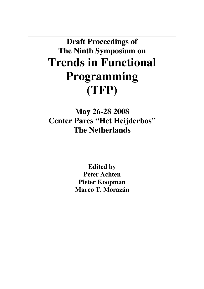**Draft Proceedings of The Ninth Symposium on Trends in Functional Programming (TFP)** 

**May 26-28 2008 Center Parcs "Het Heijderbos" The Netherlands** 

> **Edited by Peter Achten Pieter Koopman Marco T. Morazán**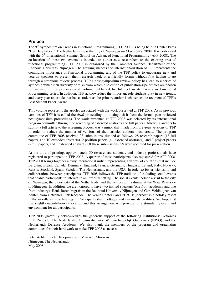### **Preface**

The 9<sup>th</sup> Symposium on Trends in Functional Programming (TFP 2008) is being held in Center Parcs "Het Heijderbos," The Netherlands near the city of Nijmegen on May 26-28, 2008. It is co-located with the 6<sup>th</sup> International Summer School on Advanced Functional Programming (AFP 2008). The co-location of these two events is intended to attract new researchers to the exciting area of functional programming. TFP 2008 is organized by the Computer Science Department of the Radboud University Nijmegen. The growing success and internationalization of TFP represents the continuing importance of functional programming and of the TFP policy to encourage new and veteran speakers to present their research work at a friendly forum without first having to go through a strenuous review process. TFP's post-symposium review policy has lead to a series of symposia with a rich diversity of talks from which a selection of publication-ripe articles are chosen for inclusion in a peer-reviewed volume published by Intellect in its Trends in Functional Programming series. In addition, TFP acknowledges the important role students play in new trends, and every year an article that has a student as the primary author is chosen as the recipient of TFP's Best Student Paper Award.

This volume represents the articles associated with the work presented at TFP 2008. As in previous versions of TFP it is called the *draft* proceedings to distinguish it from the formal peer-reviewed post-symposium proceedings. The work presented at TFP 2008 was selected by its international program committee through the screening of extended abstracts and full papers. Allowing authors to submit a full article to the screening process was a minor shift made from previous versions of TFP in order to reduce the number of versions of their articles authors must create. The program committee of TFP 2008 received 33 submissions, divided as follows: 28 research papers (18 full papers, and 10 extended abstracts), 2 position papers (all extended abstracts), and 3 project papers (2 full papers, and 1 extended abstract). Of these submissions, 29 were accepted for presentation.

At the time of printing, approximately 50 researchers, students, and industry professionals have registered to participate in TFP 2008. A quarter of these participants also registered for AFP 2008. TFP 2008 brings together a truly international milieu representing a variety of countries that include Belgium, Brazil, Canada, Denmark, England, France, Germany, Hungary, Ireland, Italy, Norway, Russia, Scotland, Spain, Sweden, The Netherlands, and the USA. In order to foster friendship and collaborations between participants, TFP 2008 follows the TFP tradition of including social events that enable participants to interact in an informal setting. The social events include a visit to the city of Nijmegen, the oldest city of the Netherlands, and the symposium's dinner at the Waal Riverside in Nijmegen. In addition, we are honored to have two invited speakers (one from academia and one from industry): Henk Barendregt from the Radboud University Nijmegen and Gert Veldhuijzen van Zanten from Getronics Pink Roccade. The venue Center Parcs "Het Heijderbos" is a holiday resort in the woodlands near Nijmegen. Participants share cottages and can use its facilities. We hope that this slightly out-of-the-way location and this arrangement will provide for a stimulating event and environment for all participants.

TFP 2008 gratefully acknowledges the generous support of the following institutions: Getronics Pink Roccade, The Nederlandse Organisatie voor Wetenschappelijk Onderzoek (NWO), and the Netherlands Defence Academy. We also thank the members of the program and organizing committees for their hard work to make TFP 2008 a success.

Peter Achten, Pieter Koopman, and Marco T. Morazán Nijmegen, The Netherlands May 2008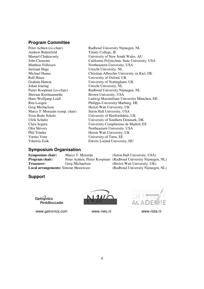### **Program Committee**

Peter Achten (co-chair) Radboud University Nijmegen, NL Andrew Butterfield Trinity College, IE Matthias Felleisen Northeastern University, USA Jurriaan Hage Utrecht University, NL Graham Hutton University of Nottingham, UK<br>
Johan Jeuring Utrecht University, NL Johan Jeuring Utrecht University, NL<br>Pieter Koopman (co-chair) Radboud University Nij Shriram Krishnamurthi Brown University, USA Marco T. Morazán (symp. chair)<br>Sven-Bodo Scholz Olin Shivers Northeastern University, USA Phil Trinder Heriot-Watt University, UK Varmo Vene University of Tartu, EE Viktória Zsók Eötvös Loránd University, HU

Manuel Chakravarty University of New South Wales, AU John Clements California Polytechnic State University, USA Michael Hanus Christian-Albrechts University zu Kiel, DE<br>
Ralf Hinze University of Oxford, UK University of Oxford, UK Radboud University Nijmegen, NL Hans-Wolfgang Loidl Ludwig-Maximilians University München, DE Rita Loogen Philipps-University Marburg, DE<br>
Greg Michaelson Heriot-Watt University, UK Heriot-Watt University, UK<br>Seton Hall University, USA University of Hertfordshire, UK Ulrik Schultz University of Southern Denmark, DK Clara Segura University Complutense de Madrid, ES

## **Symposium Organisation**

**Local arrangements: Simone Meeuwsen** 

**Symposium chair:** Marco T. Morazán (Seton Hall University, USA)<br>**Program chair:** Peter Achten. Pieter Koopman (Radboud University Niimege Peter Achten, Pieter Koopman (Radboud University Nijmegen, NL) **Treasurer:** Greg Michaelson (Heriot-Watt University, UK)<br> **Local arrangements:** Simone Meeuwsen (Radboud University Niimegen, NL)

## **Support**

Getrenics PinkRoccade

www.getronics.com www.nwo.nl www.nwowednesservice.com

 $\sqrt{11}$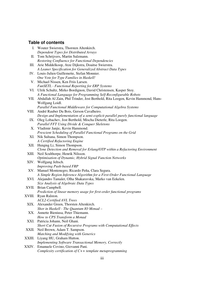# **Table of contents**

|       | I. Wouter Swierstra, Thorsten Altenkirch.                                                     |
|-------|-----------------------------------------------------------------------------------------------|
|       | Dependent Types for Distributed Arrays                                                        |
| П.    | Tom Schrijvers, Martin Sulzmann.                                                              |
|       | Restoring Confluence for Functional Dependencies                                              |
| Ш.    | Arie Middelkoop, Atze Dijkstra, Doaitse Swierstra.                                            |
|       | A Leaner Specification for Generalized Abstract Data Types                                    |
| IV.   | Louis-Julien Guillemette, Stefan Monnier.                                                     |
|       | One Vote for Type Families in Haskell!                                                        |
| V.    | Michael Nissen, Ken Friis Larsen.                                                             |
|       | <b>FunSETL</b> - Functional Reporting for ERP Systems                                         |
|       | VI. Ulrik Schultz, Mirko Bordignon, David Christensen, Kasper Stoy.                           |
|       | A Functional Language for Programming Self-Reconfigurable Robots                              |
| VII.  | Abdallah Al Zain, Phil Trinder, Jost Berthold, Rita Loogen, Kevin Hammond, Hans-              |
|       | Wolfgang Loidl.                                                                               |
|       | Parallel Functional Middleware for Computational Algebra Systems                              |
|       | VIII. André Rauber Du Bois, Gerson Cavalheiro.                                                |
|       | Design and Implementation of a semi-explicit parallel purely functional language              |
|       | IX. Oleg Lobachev, Jost Berthold, Mischa Dieterle, Rita Loogen.                               |
|       | Parallel FFT Using Divide & Conquer Skeletons                                                 |
|       | X. Vladimir Janjic, Kevin Hammond.                                                            |
|       | Prescient Scheduling of Parallel Functional Programs on the Grid                              |
|       | XI. Nik Sultana, Simon Thompson.                                                              |
|       | A Certified Refactoring Engine                                                                |
|       | XII. Huiqing Li, Simon Thompson.                                                              |
|       | Clone Detection and Removal for Erlang/OTP within a Refactoring Environment                   |
| XIII. | Neil Sculthorpe, Henrik Nilsson.                                                              |
|       | Optimisation of Dynamic, Hybrid Signal Function Networks                                      |
|       | XIV. Wolfgang Jeltsch.                                                                        |
|       | <b>Improving Push-based FRP</b>                                                               |
|       | XV. Manuel Montenegro, Ricardo Peña, Clara Segura.                                            |
|       | A Simple Region Inference Algorithm for a First-Order Functional Language                     |
|       | XVI. Alejandro Tamalet, Olha Shakaravska, Marko van Eekelen.                                  |
|       | Size Analysis of Algebraic Data Types<br>XVII. Brian Campbell.                                |
|       |                                                                                               |
|       | Prediction of linear memory usage for first-order functional programs<br>XVIII. Ryan Ralston. |
|       | <b>ACL2-Certified AVL Trees</b>                                                               |
|       | XIX. Alexander Green, Thorsten Altenkirch.                                                    |
|       | Shor in Haskell - The Quantum IO Monad -                                                      |
|       | XX. Annette Bieniusa, Peter Thiemann.                                                         |
|       | How to CPS Transform a Monad                                                                  |
|       | XXI. Patricia Johann, Neil Ghani.                                                             |
|       | Short Cut Fusion of Recursive Programs with Computational Effects                             |
|       | XXII. Neil Brown, Adam T. Sampson.                                                            |
|       | Matching and Modifying with Generics                                                          |
|       | XXIII. Liyang HU, Graham Hutton.                                                              |
|       | Implementing Software Transactional Memory, Correctly                                         |
|       | XXIV. Emanuele Covino, Giovanni Pani.                                                         |
|       | Complexity certification of $C++$ template metaprogramming                                    |
|       |                                                                                               |